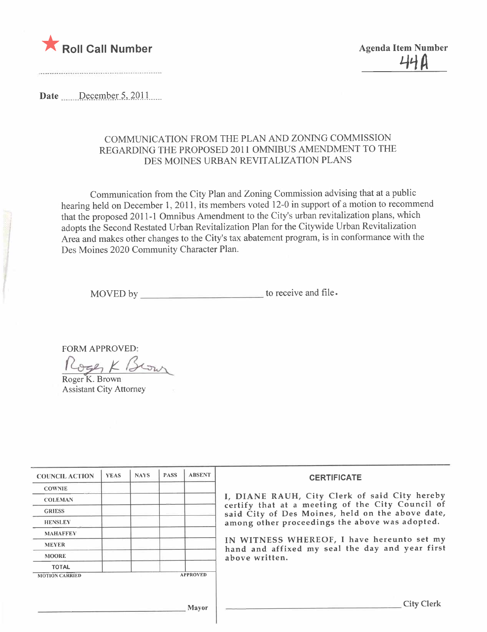

Date  $\frac{\text{December 5, 2011}}{\text{December 5, 2011}}$ 

### COMMUNICATION FROM THE PLAN AND ZONING COMMISSION REGARDING THE PROPOSED 2011 OMNIBUS AMENDMENT TO THE DES MOINES URBAN REVITALIZATION PLANS

Communication from the City Plan and Zoning Commission advising that at a public hearing held on December 1, 2011, its members voted 12-0 in support of a motion to recommend that the proposed 2011-1 Omnibus Amendment to the City's urban revitalization plans, which adopts the Second Restated Urban Revitalization Plan for the Citywide Urban Revitalization Area and makes other changes to the City's tax abatement program, is in conformance with the Des Moines 2020 Community Character Plan.

MOVED by to receive and file.

FORM APPROVED:

Roger K. Brown Rose K Brow Assistant City Attorney

| <b>COUNCIL ACTION</b> | <b>YEAS</b> | <b>NAYS</b> | <b>PASS</b> | <b>ABSENT</b>   | <b>CERTIFICATE</b>                                                                                   |
|-----------------------|-------------|-------------|-------------|-----------------|------------------------------------------------------------------------------------------------------|
| <b>COWNIE</b>         |             |             |             |                 |                                                                                                      |
| <b>COLEMAN</b>        |             |             |             |                 | I, DIANE RAUH, City Clerk of said City hereby                                                        |
| <b>GRIESS</b>         |             |             |             |                 | certify that at a meeting of the City Council of<br>said City of Des Moines, held on the above date, |
| <b>HENSLEY</b>        |             |             |             |                 | among other proceedings the above was adopted.                                                       |
| <b>MAHAFFEY</b>       |             |             |             |                 |                                                                                                      |
| <b>MEYER</b>          |             |             |             |                 | IN WITNESS WHEREOF, I have hereunto set my<br>hand and affixed my seal the day and year first        |
| <b>MOORE</b>          |             |             |             |                 | above written.                                                                                       |
| <b>TOTAL</b>          |             |             |             |                 |                                                                                                      |
| <b>MOTION CARRIED</b> |             |             |             | <b>APPROVED</b> |                                                                                                      |
|                       |             |             |             | Mayor           | <b>City Clerk</b>                                                                                    |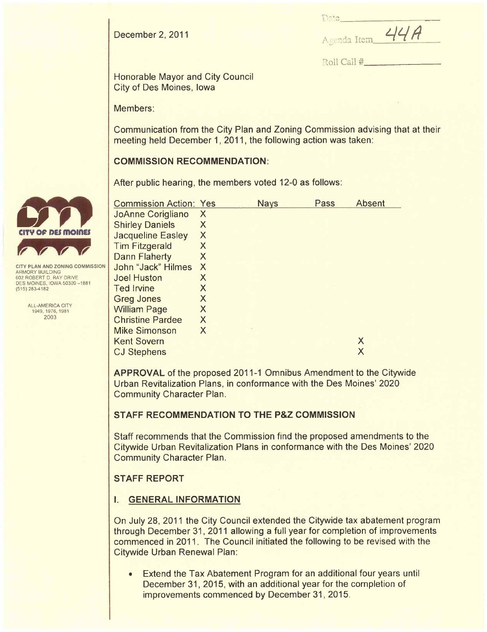Dete.

December 2, 2011

| Agenda Item | 44A |
|-------------|-----|
|             |     |

Roll Call #

Honorable Mayor and City Council City of Des Moines, Iowa

Members:

Communication from the City Plan and Zoning Commission advising that at their meeting held December 1, 2011, the following action was taken:

## COMMISSION RECOMMENDATION:

After public hearing, the members voted 12-0 as follows:

| <b>Commission Action: Yes</b> |   | <b>Nays</b> | Pass | <b>Absent</b> |
|-------------------------------|---|-------------|------|---------------|
| <b>JoAnne Corigliano</b>      | X |             |      |               |
| <b>Shirley Daniels</b>        | X |             |      |               |
| <b>Jacqueline Easley</b>      | X |             |      |               |
| <b>Tim Fitzgerald</b>         | Χ |             |      |               |
| Dann Flaherty                 | X |             |      |               |
| John "Jack" Hilmes            | X |             |      |               |
| <b>Joel Huston</b>            | X |             |      |               |
| <b>Ted Irvine</b>             | Χ |             |      |               |
| <b>Greg Jones</b>             | Χ |             |      |               |
| <b>William Page</b>           | X |             |      |               |
| <b>Christine Pardee</b>       | X |             |      |               |
| <b>Mike Simonson</b>          | X |             |      |               |
| <b>Kent Sovern</b>            |   |             |      | X             |
| <b>CJ Stephens</b>            |   |             |      | Х             |

APPROVAL of the proposed 2011-1 Omnibus Amendment to the Citywide Urban Revitalization Plans, in conformance with the Des Moines' 2020 Community Character Plan.

# STAFF RECOMMENDATION TO THE P&Z COMMISSION

Staff recommends that the Commission find the proposed amendments to the Citywide Urban Revitalization Plans in conformance with the Des Moines' 2020 Community Character Plan.

# STAFF REPORT

# i. GENERAL INFORMATION

On July 28, 2011 the City Council extended the Citywide tax abatement program through December 31,2011 allowing a full year for completion of improvements commenced in 2011. The Council initiated the following to be revised with the Citywide Urban Renewal Plan:

. Extend the Tax Abatement Program for an additional four years until December 31, 2015, with an additional year for the completion of improvements commenced by December 31,2015.



ARMORY BUILDING 602 ROBERT D. RAY DRIVE DES MOINES, IOWA 50309-1881 (515) 283-4182

> ALL-AMERICA CITY 1949, 1976, 1981 2003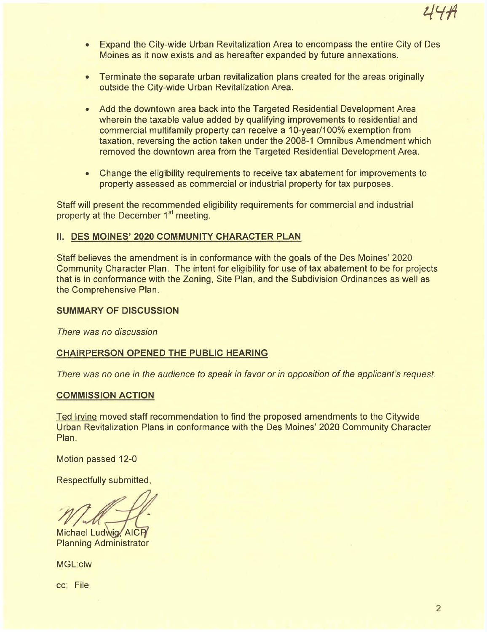- . Expand the City-wide Urban Revitalization Area to encompass the entire City of Des Moines as it now exists and as hereafter expanded by future annexations.
- . Terminate the separate urban revitalization plans created for the areas originally outside the City-wide Urban Revitalization Area.
- . Add the downtown area back into the Targeted Residential Development Area wherein the taxable value added by qualifying improvements to residential and commercial multifamily property can receive a 10-year/100% exemption from taxation, reversing the action taken under the 2008-1 Omnibus Amendment which removed the downtown area from the Targeted Residential Development Area.
- . Change the eligibility requirements to receive tax abatement for improvements to property assessed as commercial or industrial property for tax purposes.

Staff will present the recommended eligibility requirements for commercial and industrial property at the December 1<sup>st</sup> meeting.

#### II. DES MOINES' 2020 COMMUNITY CHARACTER PLAN

Staff believes the amendment is in conformance with the goals of the Des Moines' 2020 Community Character Plan. The intent for eligibility for use of tax abatement to be for projects that is in conformance with the Zoning, Site Plan, and the Subdivision Ordinances as well as the Comprehensive Plan.

#### SUMMARY OF DISCUSSION

There was no discussion

#### CHAIRPERSON OPENED THE PUBLIC HEARING

There was no one in the audience to speak in favor or in opposition of the applicant's request.

#### COMMISSION ACTION

Ted Irvine moved staff recommendation to find the proposed amendments to the Citywide Urban Revitalization Plans in conformance with the Des Moines' 2020 Community Character Plan.

Motion passed 12-0

Respectfully submitted,

Michael Ludwig, AICP Planning Administrator

MGL:clw

cc: File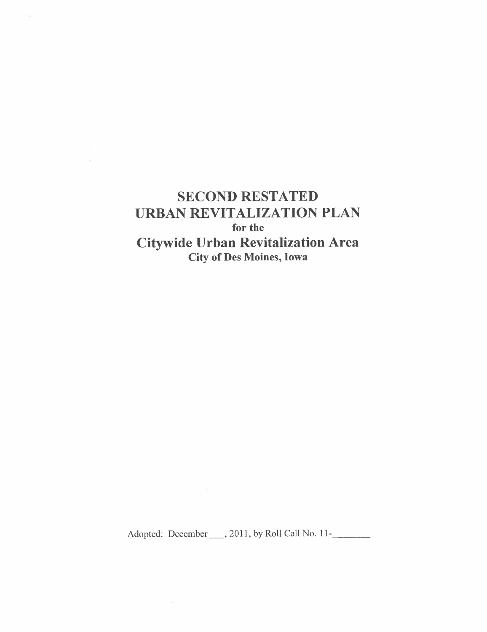SECOND RESTATED URBAN REVITALIZATION PLAN for the Citywide Urban Revitalization Area City of Des Moines, Iowa

Adopted: December \_, 2011, by Roll Call No. 11-

 $\mathcal{S}_{\mathcal{O}}$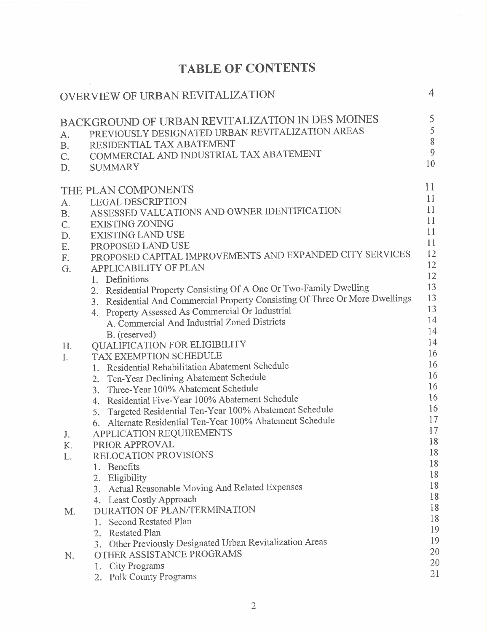# TABLE OF CONTENTS

|           | OVERVIEW OF URBAN REVITALIZATION                                                                                      | 4        |
|-----------|-----------------------------------------------------------------------------------------------------------------------|----------|
|           | BACKGROUND OF URBAN REVITALIZATION IN DES MOINES                                                                      | 5        |
| А.        | PREVIOUSLY DESIGNATED URBAN REVITALIZATION AREAS                                                                      | 5        |
| <b>B.</b> | RESIDENTIAL TAX ABATEMENT                                                                                             | $8\,$    |
| C.        | COMMERCIAL AND INDUSTRIAL TAX ABATEMENT                                                                               | 9<br>10  |
| D.        | <b>SUMMARY</b>                                                                                                        |          |
|           | THE PLAN COMPONENTS                                                                                                   | 11       |
| A.        | <b>LEGAL DESCRIPTION</b>                                                                                              | 11       |
| <b>B.</b> | ASSESSED VALUATIONS AND OWNER IDENTIFICATION                                                                          | 11       |
| C.        | <b>EXISTING ZONING</b>                                                                                                | 11       |
| D.        | <b>EXISTING LAND USE</b>                                                                                              | 11       |
| Ε.        | PROPOSED LAND USE                                                                                                     | 11       |
| F.        | PROPOSED CAPITAL IMPROVEMENTS AND EXPANDED CITY SERVICES                                                              | 12       |
| G.        | <b>APPLICABILITY OF PLAN</b>                                                                                          | 12       |
|           | Definitions<br>$1_{-}$                                                                                                | 12       |
|           | 2. Residential Property Consisting Of A One Or Two-Family Dwelling                                                    | 13       |
|           | 3. Residential And Commercial Property Consisting Of Three Or More Dwellings                                          | 13       |
|           | 4. Property Assessed As Commercial Or Industrial                                                                      | 13<br>14 |
|           | A. Commercial And Industrial Zoned Districts                                                                          | 14       |
|           | B. (reserved)                                                                                                         | 14       |
| Η.        | <b>QUALIFICATION FOR ELIGIBILITY</b>                                                                                  | 16       |
| L         | TAX EXEMPTION SCHEDULE                                                                                                | 16       |
|           | Residential Rehabilitation Abatement Schedule<br>$1_{-}$                                                              | 16       |
|           | Ten-Year Declining Abatement Schedule<br>2.                                                                           | 16       |
|           | Three-Year 100% Abatement Schedule<br>3.<br>Residential Five-Year 100% Abatement Schedule                             | 16       |
|           | 4.                                                                                                                    | 16       |
|           | Targeted Residential Ten-Year 100% Abatement Schedule<br>5.<br>Alternate Residential Ten-Year 100% Abatement Schedule | 17       |
|           | 6.                                                                                                                    | 17       |
| J.        | APPLICATION REQUIREMENTS<br>PRIOR APPROVAL                                                                            | 18       |
| K.        | RELOCATION PROVISIONS                                                                                                 | 18       |
| L.        | Benefits                                                                                                              | 18       |
|           | 1.<br>2. Eligibility                                                                                                  | 18       |
|           | 3. Actual Reasonable Moving And Related Expenses                                                                      | 18       |
|           | 4. Least Costly Approach                                                                                              | 18       |
| M.        | <b>DURATION OF PLAN/TERMINATION</b>                                                                                   | 18       |
|           | 1. Second Restated Plan                                                                                               | 18       |
|           | 2. Restated Plan                                                                                                      | 19       |
|           | 3. Other Previously Designated Urban Revitalization Areas                                                             | 19       |
| N.        | OTHER ASSISTANCE PROGRAMS                                                                                             | 20       |
|           | 1. City Programs                                                                                                      | 20       |
|           | 2. Polk County Programs                                                                                               | 21       |
|           |                                                                                                                       |          |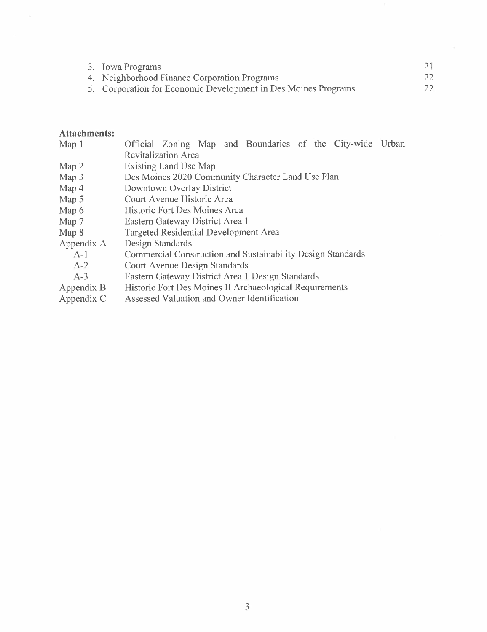| 3. Iowa Programs                                               |    |
|----------------------------------------------------------------|----|
| 4. Neighborhood Finance Corporation Programs                   | 22 |
| 5. Corporation for Economic Development in Des Moines Programs | 22 |

# Attachments:

| Map <sub>1</sub> | Official Zoning Map and Boundaries of the City-wide Urban          |  |  |  |
|------------------|--------------------------------------------------------------------|--|--|--|
|                  | <b>Revitalization Area</b>                                         |  |  |  |
| Map $2$          | <b>Existing Land Use Map</b>                                       |  |  |  |
| $Map_3$          | Des Moines 2020 Community Character Land Use Plan                  |  |  |  |
| Map $4$          | Downtown Overlay District                                          |  |  |  |
| Map 5            | Court Avenue Historic Area                                         |  |  |  |
| Map $6$          | Historic Fort Des Moines Area                                      |  |  |  |
| Map $7$          | Eastern Gateway District Area 1                                    |  |  |  |
| Map 8            | Targeted Residential Development Area                              |  |  |  |
| Appendix A       | Design Standards                                                   |  |  |  |
| $A-1$            | <b>Commercial Construction and Sustainability Design Standards</b> |  |  |  |
| $A-2$            | Court Avenue Design Standards                                      |  |  |  |
| $A-3$            | Eastern Gateway District Area 1 Design Standards                   |  |  |  |
| Appendix B       | Historic Fort Des Moines II Archaeological Requirements            |  |  |  |

Appendix C Assessed Valuation and Owner Identification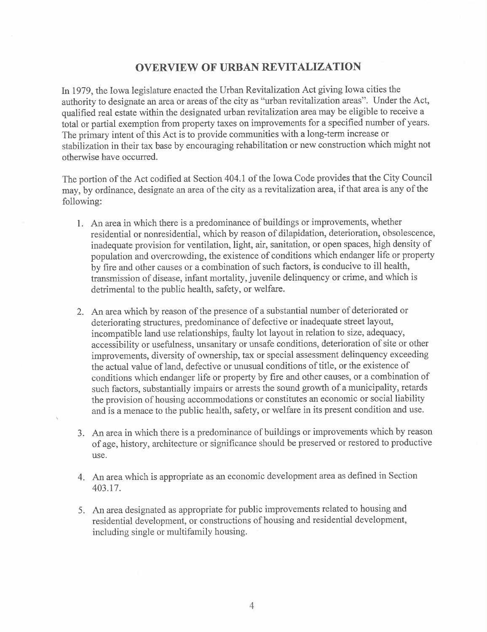## OVERVIEW OF URAN REVITALIZATION

In 1979, the Iowa legislatue enacted the Urban Revitalization Act giving Iowa cities the authority to designate an area or areas of the city as "urban revitalization areas". Under the Act, qualified real estate within the designated urban revitalization area may be eligible to receive a total or parial exemption from property taxes on improvements for a specified number of years. The primary intent of this Act is to provide communities with a long-term increase or stabilization in their tax base by encouraging rehabilitation or new construction which might not otherwise have occurred.

The portion of the Act codified at Section 404.1 of the Iowa Code provides that the City Council may, by ordinance, designate an area of the city as a revitalization area, if that area is any of the following:

- 1. An area in which there is a predominance of buildings or improvements, whether residential or nonresidential, which by reason of dilapidation, deterioration, obsolescence, inadequate provision for ventilation, light, air, sanitation, or open spaces, high density of population and overcrowding, the existence of conditions which endanger life or property by fire and other causes or a combination of such factors, is conducive to il health, transmission of disease, infant mortality, juvenile delinquency or crime, and which is detrimental to the public health, safety, or welfare.
- 2. An area which by reason of the presence of a substantial number of deteriorated or deteriorating structures, predominance of defective or inadequate street layout, incompatible land use relationships, faulty lot layout in relation to size, adequacy, accessibility or usefulness, unsanitary or unsafe conditions, deterioration of site or other improvements, diversity of ownership, tax or special assessment delinquency exceeding the actual value of land, defective or unusual conditions of title, or the existence of conditions which endanger life or property by fire and other causes, or a combination of such factors, substantially impairs or arrests the sound growth of a municipality, retards the provision of housing accommodations or constitutes an economic or social liability and is a menace to the public health, safety, or welfare in its present condition and use.
- 3. An area in which there is a predominance of buildings or improvements which by reason of age, history, architecture or significance should be preserved or restored to productive use.
- 4. An area which is appropriate as an economic development area as defined in Section 403.17.
- 5. An area designated as appropriate for pubIic improvements related to housing and residential development, or constructions of housing and residential development, including single or multifamily housing.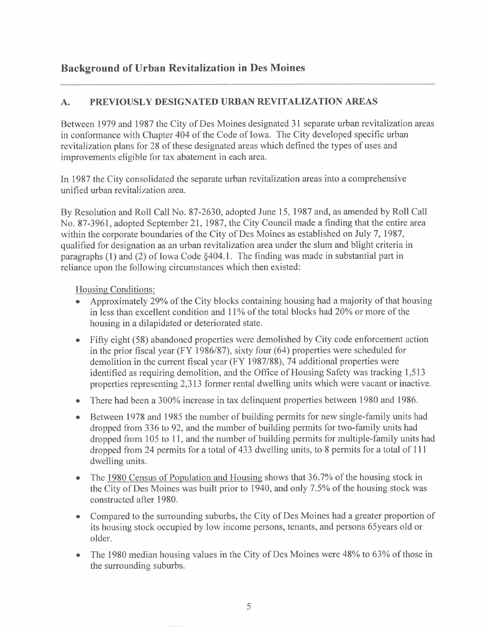# Background of Urban Revitalization in Des Moines

## A. PREVIOUSLY DESIGNATED URBAN REVITALIZATION AREAS

Between 1979 and 1987 the City of Des Moines designated 31 separate urban revitalization areas in conformance with Chapter 404 of the Code of Iowa. The City developed specific urban revitalization plans for 28 of these designated areas which defined the types of uses and improvements eligible for tax abatement in each area.

In 1987 the City consolidated the separate urban revitalization areas into a comprehensive unified urban revitalization area.

By Resolution and Roll Call No. 87-2630, adopted June 15, 1987 and, as amended by Roll Call No. 87-3961, adopted September 21, 1987, the City Council made a finding that the entire area within the corporate boundaries of the City of Des Moines as established on July 7, 1987, quaIified for designation as an urban revitalization area under the slum and blight criteria in paragraphs (1) and (2) of Iowa Code  $§404.1$ . The finding was made in substantial part in reliance upon the following circumstances which then existed:

Housing Conditions:

- . Approximately 29% of the City blocks containing housing had a majority of that housing in less than excellent condition and 11% of the total blocks had 20% or more of the housing in a dilapidated or deteriorated state.
- . Fifty eight (58) abandoned properties were demolished by City code enforcement action in the prior fiscal year (FY 1986/87), sixty four (64) properties were scheduled for demolition in the current fiscal year (FY 1987/88), 74 additional properties were identified as requiring demolition, and the Office of Housing Safety was tracking 1,513 properties representing 2,313 former rental dwelling units which were vacant or inactive.
- . There had been a 300% increase in tax delinquent properties between 1980 and 1986.
- . Between 1978 and 1985 the number of building permits for new single-family units had dropped from 336 to 92, and the number of building permits for two-family units had dropped from 105 to 11, and the number of building permits for multiple-family units had dropped from 24 permits for a total of 433 dwelling units, to 8 permits for a total of 111 dwelling units.
- . The 1980 Census of Population and Housing shows that 36.7% of the housing stock in the City of Des Moines was built prior to 1940, and only 7.5% of the housing stock was constructed after 1980.
- Compared to the surrounding suburbs, the City of Des Moines had a greater proportion of its housing stock occupied by low income persons, tenants, and persons 65years old or older.
- . The 1980 median housing values in the City of Des Moines were 48% to 63% of those in the surrounding suburbs.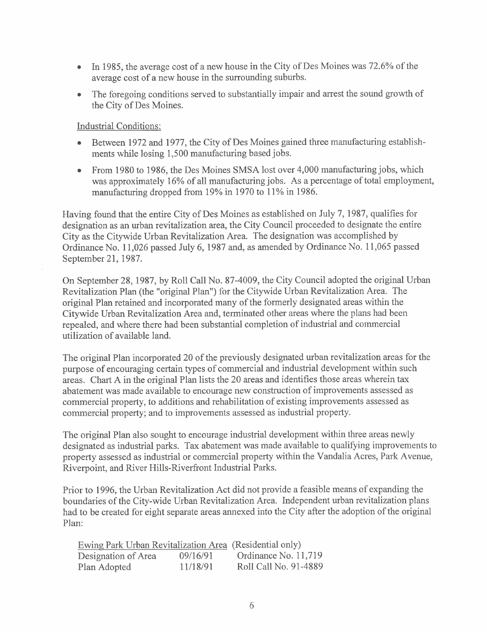- $\bullet$  In 1985, the average cost of a new house in the City of Des Moines was 72.6% of the average cost of a new house in the surrounding suburbs.
- . The foregoing conditions served to substantially impair and arrest the sound growth of the City of Des Moines.

Industrial Conditions:

- . Between 1972 and 1977, the City of Des Moines gained three manufacturing establishments while losing 1,500 manufacturing based jobs.
- . From 1980 to 1986, the Des Moines SMSA lost over 4,000 manufacturing jobs, which was approximately 16% of all manufacturing jobs. As a percentage of total employment, manufacturing dropped from 19% in 1970 to 11% in 1986.

Having found that the entire City of Des Moines as established on July 7, 1987, qualifies for designation as an urban revitalization area, the City Council proceeded to designate the entire City as the Citywide Urban Revitalization Area. The designation was accomplished by Ordinance No. 11,026 passed July 6, 1987 and, as amended by Ordinance No. 11,065 passed September 21, 1987.

On September 28, 1987, by Roll Call No. 87-4009, the City Council adopted the original Urban Revitalization Plan (the "original Plan") for the Citywide Urban Revitalization Area. The original Plan retained and incorporated many of the formerly designated areas within the Citywide Urban Revitalization Area and, terminated other areas where the plans had been repealed, and where there had been substantial completion of industrial and commercial utilization of available land.

The original Plan incorporated 20 of the previously designated urban revitalization areas for the purpose of encouraging certain types of commercial and industrial development within such areas. Chart A in the original Plan lists the 20 areas and identifies those areas wherein tax abatement was made available to encourage new construction of improvements assessed as commercial property, to additions and rehabilitation of existing improvements assessed as commercial property; and to improvements assessed as industrial property.

The original Plan also sought to encourage industrial development within three areas newly designated as industrial parks. Tax abatement was made available to qualifying improvements to property assessed as industrial or commercial property within the Vandalia Acres, Park Avenue, Riverpoint, and River Hils-Riverfront Industrial Parks.

Prior to 1996, the Urban Revitalization Act did not provide a feasible means of expanding the boundaries of the City-wide Urban Revitalization Area. Independent urban revitalization plans had to be created for eight separate areas annexed into the City after the adoption of the original Plan:

| Ewing Park Urban Revitalization Area (Residential only) |          |                       |
|---------------------------------------------------------|----------|-----------------------|
| Designation of Area                                     | 09/16/91 | Ordinance No. 11,719  |
| Plan Adopted                                            | 11/18/91 | Roll Call No. 91-4889 |